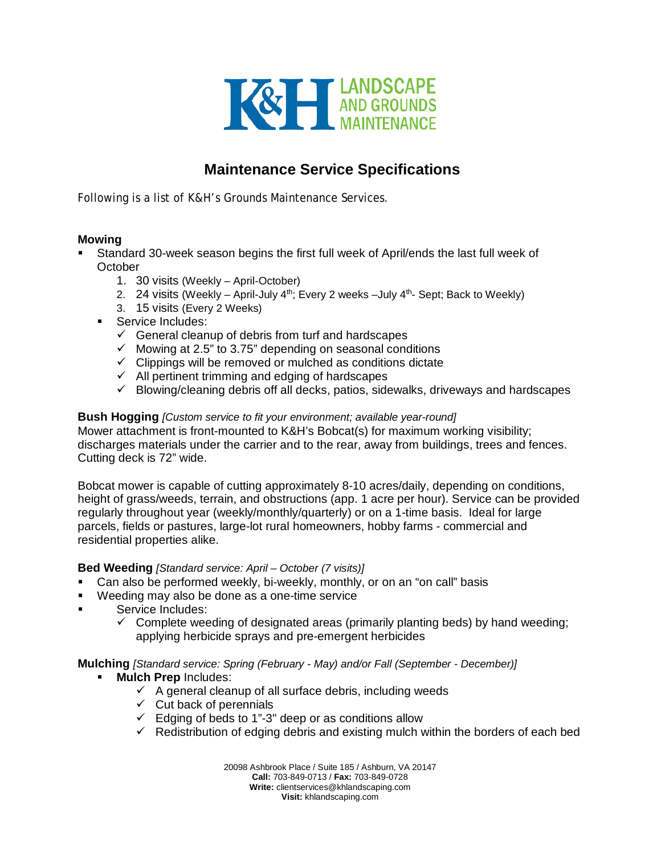

# **Maintenance Service Specifications**

Following is a list of K&H's Grounds Maintenance Services.

### **Mowing**

- Standard 30-week season begins the first full week of April/ends the last full week of **October** 
	- 1. 30 visits (Weekly April-October)
	- 2. 24 visits (Weekly April-July  $4^{th}$ ; Every 2 weeks –July  $4^{th}$  Sept; Back to Weekly)
	- 3. 15 visits (Every 2 Weeks)
	- Service Includes:
		- $\checkmark$  General cleanup of debris from turf and hardscapes
		- $\checkmark$  Mowing at 2.5" to 3.75" depending on seasonal conditions
		- $\checkmark$  Clippings will be removed or mulched as conditions dictate
		- $\checkmark$  All pertinent trimming and edging of hardscapes
		- $\checkmark$  Blowing/cleaning debris off all decks, patios, sidewalks, driveways and hardscapes

**Bush Hogging** *[Custom service to fit your environment; available year-round]* Mower attachment is front-mounted to K&H's Bobcat(s) for maximum working visibility; discharges materials under the carrier and to the rear, away from buildings, trees and fences. Cutting deck is 72" wide.

Bobcat mower is capable of cutting approximately 8-10 acres/daily, depending on conditions, height of grass/weeds, terrain, and obstructions (app. 1 acre per hour). Service can be provided regularly throughout year (weekly/monthly/quarterly) or on a 1-time basis. Ideal for large parcels, fields or pastures, large-lot rural homeowners, hobby farms - commercial and residential properties alike.

#### **Bed Weeding** *[Standard service: April – October (7 visits)]*

- Can also be performed weekly, bi-weekly, monthly, or on an "on call" basis
- Weeding may also be done as a one-time service
- Service Includes:
	- $\checkmark$  Complete weeding of designated areas (primarily planting beds) by hand weeding; applying herbicide sprays and pre-emergent herbicides

**Mulching** *[Standard service: Spring (February - May) and/or Fall (September - December)]*

- **Mulch Prep** Includes:
	- $\checkmark$  A general cleanup of all surface debris, including weeds
	- $\checkmark$  Cut back of perennials
	- $\checkmark$  Edging of beds to 1"-3" deep or as conditions allow
	- $\checkmark$  Redistribution of edging debris and existing mulch within the borders of each bed

20098 Ashbrook Place / Suite 185 / Ashburn, VA 20147 **Call:** 703-849-0713 / **Fax:** 703-849-0728 **Write:** clientservices@khlandscaping.com **Visit:** khlandscaping.com